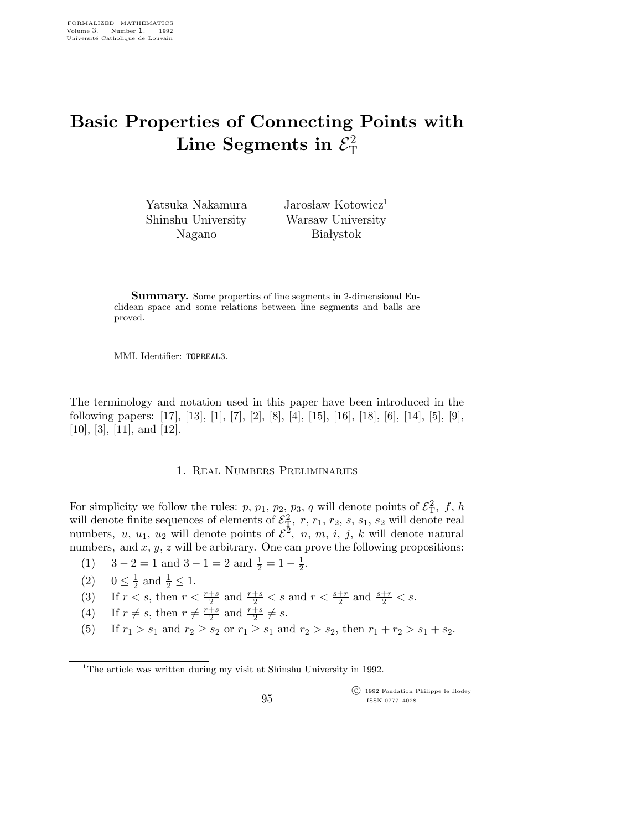## Basic Properties of Connecting Points with Line Segments in  $\mathcal{E}^2$ T

Yatsuka Nakamura Shinshu University Nagano

Jarosław Kotowicz<sup>1</sup> Warsaw University **Bia** lystok

Summary. Some properties of line segments in 2-dimensional Euclidean space and some relations between line segments and balls are proved.

MML Identifier: TOPREAL3.

The terminology and notation used in this paper have been introduced in the following papers: [17], [13], [1], [7], [2], [8], [4], [15], [16], [18], [6], [14], [5], [9], [10], [3], [11], and [12].

## 1. Real Numbers Preliminaries

For simplicity we follow the rules: p,  $p_1$ ,  $p_2$ ,  $p_3$ , q will denote points of  $\mathcal{E}_T^2$ , f, h will denote finite sequences of elements of  $\mathcal{E}_T^2$ , r,  $r_1$ ,  $r_2$ , s,  $s_1$ ,  $s_2$  will denote real numbers, u, u<sub>1</sub>, u<sub>2</sub> will denote points of  $\mathcal{E}^2$ , n, m, i, j, k will denote natural numbers, and  $x, y, z$  will be arbitrary. One can prove the following propositions:

- (1)  $3-2=1$  and  $3-1=2$  and  $\frac{1}{2}=1-\frac{1}{2}$  $\frac{1}{2}$ .
- $(2)$   $0 \leq \frac{1}{2}$  $\frac{1}{2}$  and  $\frac{1}{2} \leq 1$ .
- (3) If  $r < s$ , then  $r < \frac{r+s}{2}$  and  $\frac{r+s}{2} < s$  and  $r < \frac{s+r}{2}$  and  $\frac{s+r}{2} < s$ .

(4) If 
$$
r \neq s
$$
, then  $r \neq \frac{r+s}{2}$  and  $\frac{r+s}{2} \neq s$ .

(5) If  $r_1 > s_1$  and  $r_2 \ge s_2$  or  $r_1 \ge s_1$  and  $r_2 > s_2$ , then  $r_1 + r_2 > s_1 + s_2$ .

 c 1992 Fondation Philippe le Hodey ISSN 0777–4028

<sup>&</sup>lt;sup>1</sup>The article was written during my visit at Shinshu University in 1992.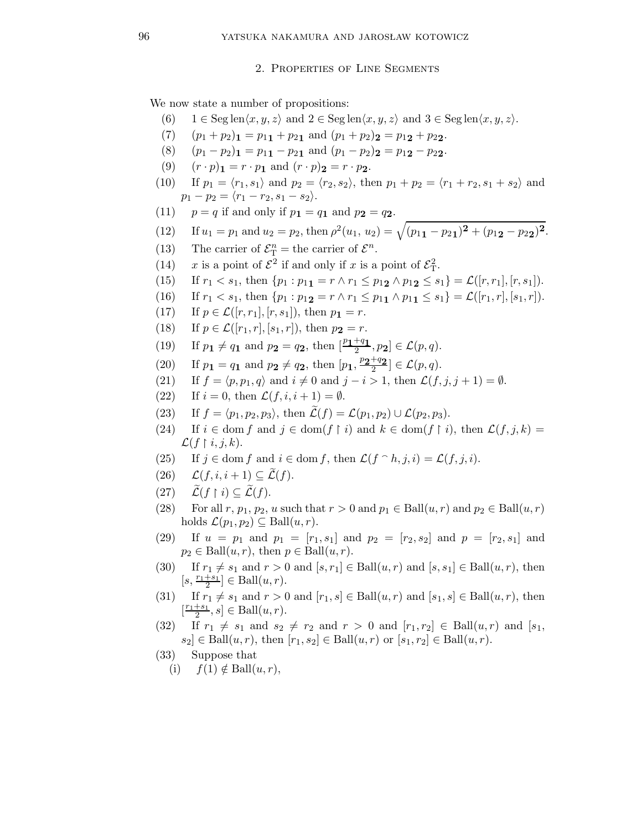2. Properties of Line Segments

We now state a number of propositions:

- (6)  $1 \in \text{Seg len}\langle x, y, z \rangle \text{ and } 2 \in \text{Seg len}\langle x, y, z \rangle \text{ and } 3 \in \text{Seg len}\langle x, y, z \rangle.$
- (7)  $(p_1 + p_2)$ **1** =  $p_{11} + p_{21}$  and  $(p_1 + p_2)$ **2** =  $p_{12} + p_{22}$ .
- (8)  $(p_1 p_2)_1 = p_{11} p_{21}$  and  $(p_1 p_2)_2 = p_{12} p_{22}$ .
- (9)  $(r \cdot p)_1 = r \cdot p_1$  and  $(r \cdot p)_2 = r \cdot p_2$ .
- (10) If  $p_1 = \langle r_1, s_1 \rangle$  and  $p_2 = \langle r_2, s_2 \rangle$ , then  $p_1 + p_2 = \langle r_1 + r_2, s_1 + s_2 \rangle$  and  $p_1 - p_2 = \langle r_1 - r_2, s_1 - s_2 \rangle.$
- (11)  $p = q$  if and only if  $p_1 = q_1$  and  $p_2 = q_2$ .
- (12) If  $u_1 = p_1$  and  $u_2 = p_2$ , then  $\rho^2(u_1, u_2) = \sqrt{(p_{11} p_{21})^2 + (p_{12} p_{22})^2}$ .
- (13) The carrier of  $\mathcal{E}_{\mathrm{T}}^{n}$  = the carrier of  $\mathcal{E}^{n}$ .
- (14) x is a point of  $\mathcal{E}^2$  if and only if x is a point of  $\mathcal{E}_T^2$ .
- (15) If  $r_1 < s_1$ , then  $\{p_1 : p_{11} = r \wedge r_1 \leq p_{12} \wedge p_{12} \leq s_1\} = \mathcal{L}([r, r_1], [r, s_1]).$
- (16) If  $r_1 < s_1$ , then  $\{p_1 : p_{12} = r \wedge r_1 \leq p_{11} \wedge p_{11} \leq s_1\} = \mathcal{L}([r_1, r], [s_1, r]).$
- (17) If  $p \in \mathcal{L}([r, r_1], [r, s_1])$ , then  $p_1 = r$ .
- (18) If  $p \in \mathcal{L}([r_1, r], [s_1, r])$ , then  $p_2 = r$ .
- (19) If  $p_1 \neq q_1$  and  $p_2 = q_2$ , then  $\left[\frac{p_1+q_1}{2}, p_2\right] \in \mathcal{L}(p, q)$ .
- (20) If  $p_1 = q_1$  and  $p_2 \neq q_2$ , then  $[p_1, \frac{p_2+q_2}{2}] \in \mathcal{L}(p, q)$ .
- (21) If  $f = \langle p, p_1, q \rangle$  and  $i \neq 0$  and  $j i > 1$ , then  $\mathcal{L}(f, j, j + 1) = \emptyset$ .
- (22) If  $i = 0$ , then  $\mathcal{L}(f, i, i + 1) = \emptyset$ .
- (23) If  $f = \langle p_1, p_2, p_3 \rangle$ , then  $\mathcal{L}(f) = \mathcal{L}(p_1, p_2) \cup \mathcal{L}(p_2, p_3)$ .
- (24) If  $i \in \text{dom } f$  and  $j \in \text{dom}(f \restriction i)$  and  $k \in \text{dom}(f \restriction i)$ , then  $\mathcal{L}(f, j, k) =$  $\mathcal{L}(f \mid i, j, k).$
- (25) If  $j \in \text{dom } f$  and  $i \in \text{dom } f$ , then  $\mathcal{L}(f \cap h, j, i) = \mathcal{L}(f, j, i)$ .
- $(26)$   $\mathcal{L}(f, i, i + 1) \subseteq \widetilde{\mathcal{L}}(f)$ .
- $(27)$  $\restriction i) \subseteq \mathcal{L}(f).$
- (28) For all r,  $p_1$ ,  $p_2$ , u such that  $r > 0$  and  $p_1 \in \text{Ball}(u, r)$  and  $p_2 \in \text{Ball}(u, r)$ holds  $\mathcal{L}(p_1, p_2) \subseteq \text{Ball}(u, r)$ .
- (29) If  $u = p_1$  and  $p_1 = [r_1, s_1]$  and  $p_2 = [r_2, s_2]$  and  $p = [r_2, s_1]$  and  $p_2 \in \text{Ball}(u, r)$ , then  $p \in \text{Ball}(u, r)$ .
- (30) If  $r_1 \neq s_1$  and  $r > 0$  and  $[s, r_1] \in \text{Ball}(u, r)$  and  $[s, s_1] \in \text{Ball}(u, r)$ , then  $[s, \frac{r_1+s_1}{2}] \in \text{Ball}(u, r).$
- (31) If  $r_1 \neq s_1$  and  $r > 0$  and  $[r_1, s] \in Ball(u, r)$  and  $[s_1, s] \in Ball(u, r)$ , then  $\left[\frac{r_1+s_1}{2},s\right]\in \text{Ball}(u,r).$
- (32) If  $r_1 \neq s_1$  and  $s_2 \neq r_2$  and  $r > 0$  and  $[r_1, r_2] \in \text{Ball}(u, r)$  and  $[s_1,$  $|s_2| \in \text{Ball}(u, r)$ , then  $[r_1, s_2] \in \text{Ball}(u, r)$  or  $[s_1, r_2] \in \text{Ball}(u, r)$ .
- (33) Suppose that
	- (i)  $f(1) \notin \text{Ball}(u, r)$ ,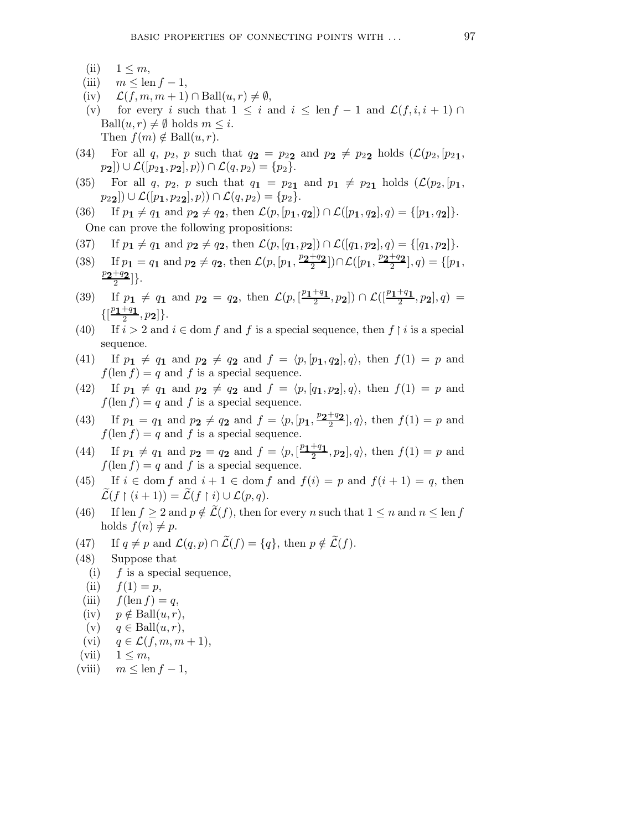- (ii)  $1 \leq m$ ,
- (iii)  $m \leq \operatorname{len} f 1$ ,
- (iv)  $\mathcal{L}(f, m, m+1) \cap \text{Ball}(u, r) \neq \emptyset$ ,
- (v) for every i such that  $1 \leq i$  and  $i \leq \text{len } f 1$  and  $\mathcal{L}(f, i, i + 1) \cap$ Ball $(u, r) \neq \emptyset$  holds  $m \leq i$ . Then  $f(m) \notin \text{Ball}(u, r)$ .
- (34) For all q,  $p_2$ , p such that  $q_2 = p_{22}$  and  $p_2 \neq p_{22}$  holds  $(\mathcal{L}(p_2, [p_{21},$  $p_2] \cup \mathcal{L}([p_{21}, p_2], p) \cap \mathcal{L}(q, p_2) = \{p_2\}.$
- (35) For all q,  $p_2$ , p such that  $q_1 = p_{21}$  and  $p_1 \neq p_{21}$  holds  $(\mathcal{L}(p_2, [p_1,$  $p_{22}|)\cup\mathcal{L}([p_1,p_{22}],p))\cap\mathcal{L}(q,p_2)=\{p_2\}.$
- (36) If  $p_1 \neq q_1$  and  $p_2 \neq q_2$ , then  $\mathcal{L}(p, [p_1, q_2]) \cap \mathcal{L}([p_1, q_2], q) = \{[p_1, q_2]\}.$ One can prove the following propositions:
- (37) If  $p_1 \neq q_1$  and  $p_2 \neq q_2$ , then  $\mathcal{L}(p,[q_1,p_2]) \cap \mathcal{L}([q_1,p_2], q) = \{[q_1,p_2]\}.$
- (38) If  $p_1 = q_1$  and  $p_2 \neq q_2$ , then  $\mathcal{L}(p, [p_1, \frac{p_2+q_2}{2}]) \cap \mathcal{L}([p_1, \frac{p_2+q_2}{2}], q) = \{[p_1,$  $\frac{p_{\bm{2}}+q_{\bm{2}}}{2}]\}.$
- (39) If  $p_1 \neq q_1$  and  $p_2 = q_2$ , then  $\mathcal{L}(p, [\frac{p_1+q_1}{2}, p_2]) \cap \mathcal{L}([\frac{p_1+q_1}{2}, p_2], q) =$  $\{[\frac{p_{1}+q_{1}}{2},p_{2}]\}.$
- (40) If  $i > 2$  and  $i \in \text{dom } f$  and f is a special sequence, then  $f \upharpoonright i$  is a special sequence.
- (41) If  $p_1 \neq q_1$  and  $p_2 \neq q_2$  and  $f = \langle p, [p_1, q_2], q \rangle$ , then  $f(1) = p$  and  $f(\text{len } f) = q$  and f is a special sequence.
- (42) If  $p_1 \neq q_1$  and  $p_2 \neq q_2$  and  $f = \langle p, [q_1, p_2], q \rangle$ , then  $f(1) = p$  and  $f(\text{len } f) = q$  and f is a special sequence.
- (43) If  $p_1 = q_1$  and  $p_2 \neq q_2$  and  $f = \langle p, [p_1, \frac{p_2+q_2}{2}], q \rangle$ , then  $f(1) = p$  and  $f(\operatorname{len} f) = q$  and f is a special sequence.
- (44) If  $p_1 \neq q_1$  and  $p_2 = q_2$  and  $f = \langle p, \left[\frac{p_1+q_1}{2}, p_2\right], q \rangle$ , then  $f(1) = p$  and  $f(\operatorname{len} f) = q$  and f is a special sequence.
- (45) If  $i \in \text{dom } f$  and  $i + 1 \in \text{dom } f$  and  $f(i) = p$  and  $f(i + 1) = q$ , then  $\mathcal{L}(f \restriction (i+1)) = \mathcal{L}(f \restriction i) \cup \mathcal{L}(p,q).$
- (46) If len  $f \ge 2$  and  $p \notin \mathcal{L}(f)$ , then for every n such that  $1 \le n$  and  $n \le \text{len } f$ holds  $f(n) \neq p$ .
- (47) If  $q \neq p$  and  $\mathcal{L}(q, p) \cap \mathcal{L}(f) = \{q\}$ , then  $p \notin \widetilde{\mathcal{L}}(f)$ .
- (48) Suppose that
	- (i)  $f$  is a special sequence,
	- (ii)  $f(1) = p$ ,
	- (iii)  $f(\text{len } f) = q$ ,
	- (iv)  $p \notin \text{Ball}(u, r)$ ,
	- (v)  $q \in \text{Ball}(u, r)$ ,
	- (vi)  $q \in \mathcal{L}(f, m, m+1),$
- (vii)  $1 \leq m$ ,
- (viii)  $m \leq \text{len } f 1$ ,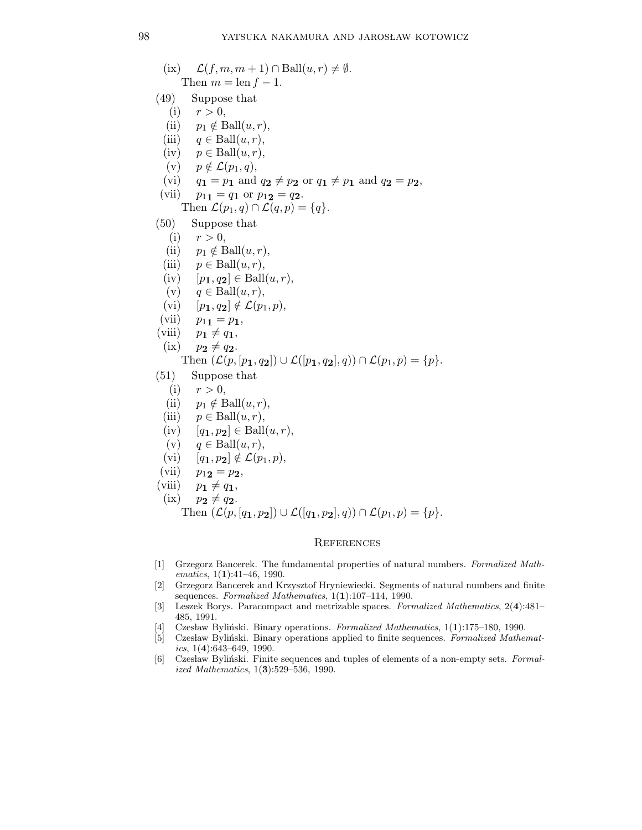(ix)  $\mathcal{L}(f, m, m+1) \cap \text{Ball}(u, r) \neq \emptyset$ . Then  $m = \text{len } f - 1$ . (49) Suppose that (i)  $r > 0$ , (ii)  $p_1 \notin \text{Ball}(u, r)$ , (iii)  $q \in \text{Ball}(u, r)$ , (iv)  $p \in \text{Ball}(u, r)$ , (v)  $p \notin \mathcal{L}(p_1, q)$ , (vi)  $q_1 = p_1$  and  $q_2 \neq p_2$  or  $q_1 \neq p_1$  and  $q_2 = p_2$ , (vii)  $p_{11} = q_1$  or  $p_{12} = q_2$ . Then  $\mathcal{L}(p_1, q) \cap \mathcal{L}(q, p) = \{q\}.$ (50) Suppose that (i)  $r > 0$ , (ii)  $p_1 \notin \text{Ball}(u, r)$ , (iii)  $p \in \text{Ball}(u, r)$ , (iv)  $[p_1, q_2] \in \text{Ball}(u, r),$ (v)  $q \in \text{Ball}(u, r)$ , (vi)  $[p_1, q_2] \notin \mathcal{L}(p_1, p),$ (vii)  $p_{11} = p_1$ , (viii)  $p_1 \neq q_1$ ,  $(ix)$   $p_2 \neq q_2$ . Then  $(\mathcal{L}(p, [p_1, q_2]) \cup \mathcal{L}([p_1, q_2], q)) \cap \mathcal{L}(p_1, p) = \{p\}.$ (51) Suppose that (i)  $r > 0$ , (ii)  $p_1 \notin \text{Ball}(u, r)$ , (iii)  $p \in \text{Ball}(u, r)$ , (iv)  $[q_1, p_2] \in \text{Ball}(u, r),$ (v)  $q \in \text{Ball}(u, r)$ , (vi)  $[q_1, p_2] \notin \mathcal{L}(p_1, p),$ (vii)  $p_{12} = p_2$ , (viii)  $p_1 \neq q_1$ ,

(ix) 
$$
p_2 \neq q_2
$$
.

Then  $(\mathcal{L}(p,[q_1,p_2]) \cup \mathcal{L}([q_1,p_2], q)) \cap \mathcal{L}(p_1,p) = \{p\}.$ 

## **REFERENCES**

- [1] Grzegorz Bancerek. The fundamental properties of natural numbers. Formalized Mathematics, 1(1):41-46, 1990.
- [2] Grzegorz Bancerek and Krzysztof Hryniewiecki. Segments of natural numbers and finite sequences. Formalized Mathematics, 1(1):107-114, 1990.
- [3] Leszek Borys. Paracompact and metrizable spaces. Formalized Mathematics, 2(4):481– 485, 1991.
- [4] Czesław Byliński. Binary operations. Formalized Mathematics, 1(1):175–180, 1990.
- [5] Czesław Byliński. Binary operations applied to finite sequences. Formalized Mathematics,  $1(4):643-649$ , 1990.
- [6] Czesław Byliński. Finite sequences and tuples of elements of a non-empty sets. Formalized Mathematics, 1(3):529–536, 1990.